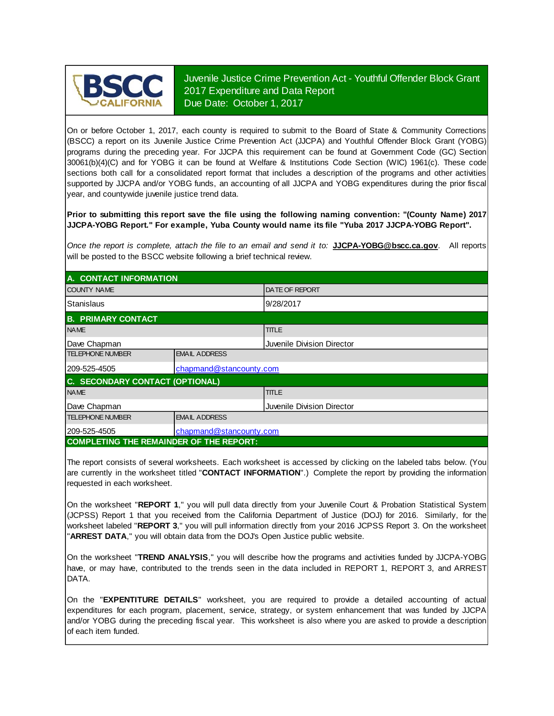

Juvenile Justice Crime Prevention Act - Youthful Offender Block Grant 2017 Expenditure and Data Report Due Date: October 1, 2017

On or before October 1, 2017, each county is required to submit to the Board of State & Community Corrections (BSCC) <sup>a</sup> report on its Juvenile Justice Crime Prevention Act (JJCPA) and Youthful Offender Block Grant (YOBG) programs during the preceding year. For JJCPA this requirement can be found at Government Code (GC) Section 30061(b)(4)(C) and for YOBG it can be found at Welfare & Institutions Code Section (WIC) 1961(c). These code sections both call for <sup>a</sup> consolidated report format that includes <sup>a</sup> description of the programs and other activities supported by JJCPA and/or YOBG funds, an accounting of all JJCPA and YOBG expenditures during the prior fiscal year, and countywide juvenile justice trend data.

**Prior to submitting this report save the file using the following naming convention: "(County Name) 2017 JJCPA-YOBG Report." For example, Yuba County would name its file "Yuba 2017 JJCPA-YOBG Report".**

*Once the report is complete, attach the file t o an email and send it to:* **JJCPA-YOBG@bscc.ca.gov**. All reports will be posted to the BSCC website following a brief technical review.

| A. CONTACT INFORMATION                         |                            |                            |  |
|------------------------------------------------|----------------------------|----------------------------|--|
| <b>COUNTY NAME</b>                             |                            | <b>IDATE OF REPORT</b>     |  |
| Stanislaus                                     |                            | 9/28/2017                  |  |
| <b>B. PRIMARY CONTACT</b>                      |                            |                            |  |
| <b>NAME</b>                                    |                            | <b>TITLE</b>               |  |
| Dave Chapman                                   |                            | Juvenile Division Director |  |
| <b>TELEPHONE NUMBER</b>                        | <b>EMAIL ADDRESS</b>       |                            |  |
| 209-525-4505                                   | chapmand@stancounty.com    |                            |  |
| C. SECONDARY CONTACT (OPTIONAL)                |                            |                            |  |
| <b>NAME</b>                                    |                            | <b>TITLE</b>               |  |
| Dave Chapman                                   | Juvenile Division Director |                            |  |
| <b>TELEPHONE NUMBER</b>                        | <b>EMAIL ADDRESS</b>       |                            |  |
| 209-525-4505                                   | chapmand@stancounty.com    |                            |  |
| <b>COMPLETING THE REMAINDER OF THE REPORT:</b> |                            |                            |  |

The report consists of several worksheets. Each worksheet is accessed by clicking on the labeled tabs below. (You are currently in the worksheet titled "**CONTACT INFORMATION**".) Complete the report by providing the information requested in each worksheet.

On the worksheet "REPORT 1," you will pull data directly from your Juvenile Court & Probation Statistical System (JCPSS) Report 1 that you received from the California Department of Justice (DOJ) for 2016. Similarly, for the worksheet labeled "REPORT 3," you will pull information directly from your 2016 JCPSS Report 3. On the worksheet "**ARREST DATA**," you will obtain data from the DOJ's Open Justice public website.

On the worksheet "**TREND ANALYSIS**, " you will describe how the programs and activities funded by JJCPA-YOBG have, or may have, contributed to the trends seen in the data included in REPORT 1, REPORT 3, and ARREST DATA.

On the "EXPENTITURE DETAILS" worksheet, you are required to provide a detailed accounting of actual expenditures for each program, placement, service, strategy, or system enhancement that was funded by JJCPA and/or YOBG during the preceding fiscal year. This worksheet is also where you are asked to provide a description of each item funded.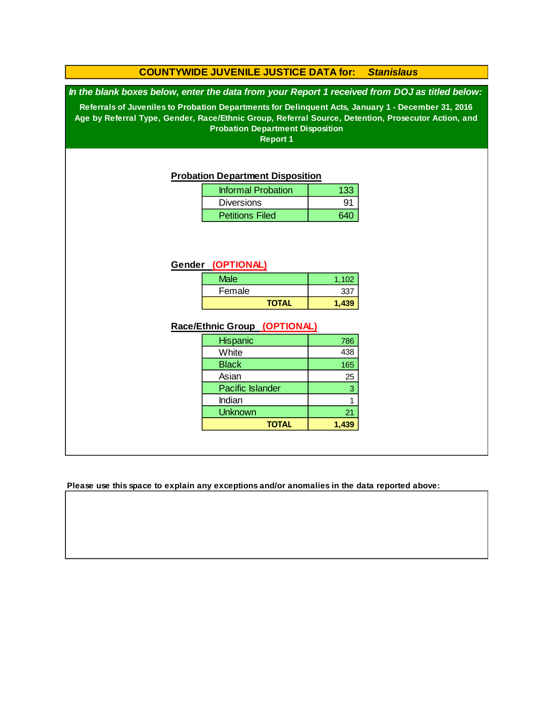#### **COUNTYWIDE JUVENILE JUSTICE DATA for:** *Stanislaus*

*In the blank boxes below, enter the data from your Report 1 received from DOJ as titled below:*

**Referrals of Juveniles to Probation Departments for Delinquent Acts, January 1 - December 31, 2016 Age by Referral Type, Gender, Race/Ethnic Group, Referral Source, Detention, Prosecutor Action, and Probation Department Disposition**

**Report 1**

#### **Probation Department Disposition**

| <b>Informal Probation</b> | 133 |
|---------------------------|-----|
| <b>Diversions</b>         | Q1  |
| <b>Petitions Filed</b>    | 640 |

#### **Gender (OPTIONAL)**

| <b>Male</b>  | 1.102 |
|--------------|-------|
| Female       | 337   |
| <b>TOTAL</b> | 1.439 |

#### **Race/Ethnic Group (OPTIONAL)**

| <b>Hispanic</b>         | 786 |
|-------------------------|-----|
| White                   | 438 |
| <b>Black</b>            | 165 |
| Asian                   | 25  |
| <b>Pacific Islander</b> | 3   |
| Indian                  |     |
| <b>Unknown</b>          | 21  |
| <b>TOTAL</b>            | 139 |

**Please use this space to explain any exceptions and/or anomalies in the data reported above:**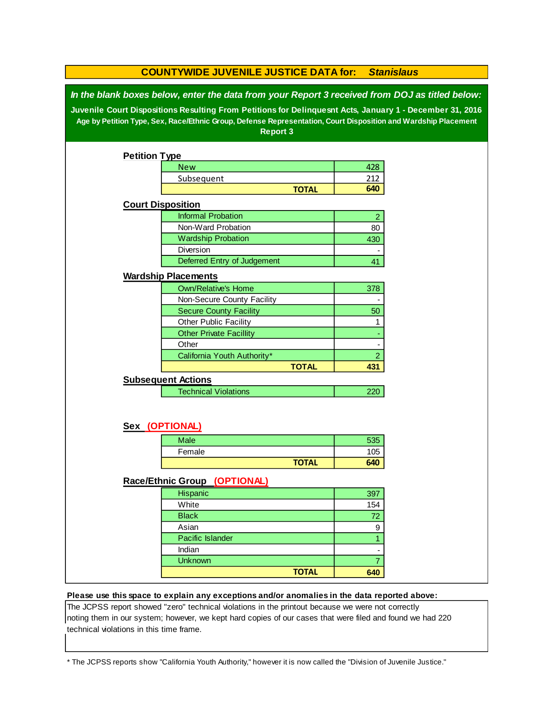| <b>COUNTYWIDE JUVENILE JUSTICE DATA for:</b><br><b>Stanislaus</b>                                        |                                                                                                                |              |                  |  |  |  |
|----------------------------------------------------------------------------------------------------------|----------------------------------------------------------------------------------------------------------------|--------------|------------------|--|--|--|
| In the blank boxes below, enter the data from your Report 3 received from DOJ as titled below:           |                                                                                                                |              |                  |  |  |  |
| Juvenile Court Dispositions Resulting From Petitions for Delinquesnt Acts, January 1 - December 31, 2016 |                                                                                                                |              |                  |  |  |  |
|                                                                                                          | Age by Petition Type, Sex, Race/Ethnic Group, Defense Representation, Court Disposition and Wardship Placement |              |                  |  |  |  |
|                                                                                                          | Report <sub>3</sub>                                                                                            |              |                  |  |  |  |
|                                                                                                          |                                                                                                                |              |                  |  |  |  |
| <b>Petition Type</b>                                                                                     |                                                                                                                |              |                  |  |  |  |
|                                                                                                          | <b>New</b>                                                                                                     |              | 428              |  |  |  |
|                                                                                                          | Subsequent                                                                                                     |              | 212              |  |  |  |
|                                                                                                          |                                                                                                                | <b>TOTAL</b> | 640              |  |  |  |
| <b>Court Disposition</b>                                                                                 |                                                                                                                |              |                  |  |  |  |
|                                                                                                          | <b>Informal Probation</b>                                                                                      |              | 2                |  |  |  |
|                                                                                                          | Non-Ward Probation                                                                                             |              | 80               |  |  |  |
|                                                                                                          | <b>Wardship Probation</b>                                                                                      |              | 430              |  |  |  |
|                                                                                                          | Diversion                                                                                                      |              | -                |  |  |  |
|                                                                                                          | Deferred Entry of Judgement                                                                                    |              | 41               |  |  |  |
|                                                                                                          | <b>Wardship Placements</b>                                                                                     |              |                  |  |  |  |
|                                                                                                          | <b>Own/Relative's Home</b>                                                                                     |              | 378              |  |  |  |
|                                                                                                          | Non-Secure County Facility                                                                                     |              |                  |  |  |  |
|                                                                                                          | <b>Secure County Facility</b>                                                                                  |              | 50               |  |  |  |
|                                                                                                          | Other Public Facility                                                                                          |              | 1                |  |  |  |
|                                                                                                          | <b>Other Private Facillity</b>                                                                                 |              |                  |  |  |  |
|                                                                                                          | Other                                                                                                          |              |                  |  |  |  |
|                                                                                                          | California Youth Authority*                                                                                    |              | $\overline{2}$   |  |  |  |
|                                                                                                          |                                                                                                                | <b>TOTAL</b> | 431              |  |  |  |
|                                                                                                          | <b>Subsequent Actions</b>                                                                                      |              |                  |  |  |  |
|                                                                                                          | <b>Technical Violations</b>                                                                                    |              | 220              |  |  |  |
|                                                                                                          |                                                                                                                |              |                  |  |  |  |
|                                                                                                          |                                                                                                                |              |                  |  |  |  |
|                                                                                                          | Sex (OPTIONAL)                                                                                                 |              |                  |  |  |  |
|                                                                                                          | <b>Male</b>                                                                                                    |              | 535              |  |  |  |
|                                                                                                          | Female                                                                                                         |              | 105              |  |  |  |
|                                                                                                          |                                                                                                                | <b>TOTAL</b> | 640              |  |  |  |
|                                                                                                          | Race/Ethnic Group (OPTIONAL)                                                                                   |              |                  |  |  |  |
|                                                                                                          | Hispanic                                                                                                       |              | 397              |  |  |  |
|                                                                                                          | White                                                                                                          |              | 154              |  |  |  |
|                                                                                                          | <b>Black</b>                                                                                                   |              | 72               |  |  |  |
|                                                                                                          | Asian                                                                                                          |              | $\boldsymbol{9}$ |  |  |  |
|                                                                                                          | Pacific Islander                                                                                               |              | $\overline{1}$   |  |  |  |
|                                                                                                          | Indian                                                                                                         |              | $\blacksquare$   |  |  |  |
|                                                                                                          | <b>Unknown</b>                                                                                                 |              | $\overline{7}$   |  |  |  |
|                                                                                                          |                                                                                                                | <b>TOTAL</b> | 640              |  |  |  |
|                                                                                                          |                                                                                                                |              |                  |  |  |  |

**Please use this space to explain any exceptions and/or anomalies in the data reported above:** 

The JCPSS report showed "zero" technical violations in the printout because we were not correctly noting them in our system; however, we kept hard copies of our cases that were filed and found we had 220 technical violations in this time frame.

\* The JCPSS reports show "California Youth Authority," however it is now called the "Division of Juvenile Justice."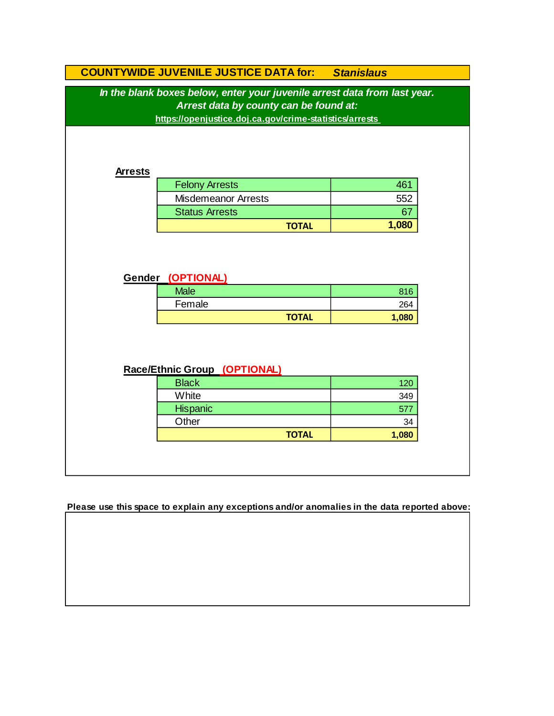|                | <b>COUNTYWIDE JUVENILE JUSTICE DATA for: Stanislaus</b>                   |              |       |
|----------------|---------------------------------------------------------------------------|--------------|-------|
|                | In the blank boxes below, enter your juvenile arrest data from last year. |              |       |
|                | Arrest data by county can be found at:                                    |              |       |
|                | https://openjustice.doj.ca.gov/crime-statistics/arrests                   |              |       |
|                |                                                                           |              |       |
| <b>Arrests</b> |                                                                           |              |       |
|                | <b>Felony Arrests</b>                                                     |              | 461   |
|                | <b>Misdemeanor Arrests</b>                                                |              | 552   |
|                | <b>Status Arrests</b>                                                     |              | 67    |
|                |                                                                           | <b>TOTAL</b> | 1,080 |
|                | Gender (OPTIONAL)                                                         |              |       |
|                |                                                                           |              |       |
|                |                                                                           |              |       |
|                | <b>Male</b>                                                               |              | 816   |
|                | Female                                                                    |              | 264   |
|                |                                                                           | <b>TOTAL</b> | 1,080 |
|                | Race/Ethnic Group (OPTIONAL)                                              |              |       |
|                | <b>Black</b>                                                              |              | 120   |
|                | White                                                                     |              | 349   |
|                | Hispanic                                                                  |              | 577   |
|                | Other                                                                     |              | 34    |
|                |                                                                           | <b>TOTAL</b> | 1,080 |

**Please use this space to explain any exceptions and/or anomalies in the data reported above:**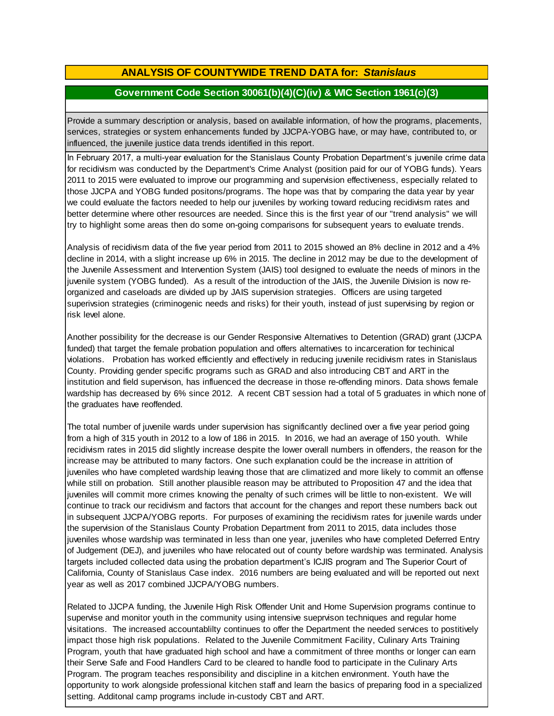# **ANALYSIS OF COUNTYWIDE TREND DATA for:** *Stanislaus*

#### **Government Code Section 30061(b)(4)(C)(iv) & WIC Section 1961(c)(3)**

Provide a summary description or analysis, based on available information, of how the programs, placements, services, strategies or system enhancements funded by JJCPA-YOBG have, or may have, contributed to, or influenced, the juvenile justice data trends identified in this report.

In February 2017, a multi-year evaluation for the Stanislaus County Probation Department's juvenile crime data for recidivism was conducted by the Department's Crime Analyst (position paid for our of YOBG funds). Years 2011 to 2015 were evaluated to improve our programming and supervision effectiveness, especially related to those JJCPA and YOBG funded positons/programs. The hope was that by comparing the data year by year we could evaluate the factors needed to help our juveniles by working toward reducing recidivism rates and better determine where other resources are needed. Since this is the first year of our "trend analysis" we will try to highlight some areas then do some on-going comparisons for subsequent years to evaluate trends.

Analysis of recidivism data of the five year period from 2011 to 2015 showed an 8% decline in 2012 and a 4% decline in 2014, with a slight increase up 6% in 2015. The decline in 2012 may be due to the development of the Juvenile Assessment and Intervention System (JAIS) tool designed to evaluate the needs of minors in the juvenile system (YOBG funded). As a result of the introduction of the JAIS, the Juvenile Division is now reorganized and caseloads are divided up by JAIS supervision strategies. Officers are using targeted superivsion strategies (criminogenic needs and risks) for their youth, instead of just supervising by region or risk level alone.

Another possibility for the decrease is our Gender Responsive Alternatives to Detention (GRAD) grant (JJCPA funded) that target the female probation population and offers alternatives to incarceration for techinical violations. Probation has worked efficiently and effectively in reducing juvenile recidivism rates in Stanislaus County. Providing gender specific programs such as GRAD and also introducing CBT and ART in the institution and field supervison, has influenced the decrease in those re-offending minors. Data shows female wardship has decreased by 6% since 2012. A recent CBT session had a total of 5 graduates in which none of the graduates have reoffended.

The total number of juvenile wards under supervision has significantly declined over a five year period going from a high of 315 youth in 2012 to a low of 186 in 2015. In 2016, we had an average of 150 youth. While recidivism rates in 2015 did slightly increase despite the lower overall numbers in offenders, the reason for the increase may be attributed to many factors. One such explanation could be the increase in attrition of juveniles who have completed wardship leaving those that are climatized and more likely to commit an offense while still on probation. Still another plausible reason may be attributed to Proposition 47 and the idea that juveniles will commit more crimes knowing the penalty of such crimes will be little to non-existent. We will continue to track our recidivism and factors that account for the changes and report these numbers back out in subsequent JJCPA/YOBG reports. For purposes of examining the recidivism rates for juvenile wards under the supervision of the Stanislaus County Probation Department from 2011 to 2015, data includes those juveniles whose wardship was terminated in less than one year, juveniles who have completed Deferred Entry of Judgement (DEJ), and juveniles who have relocated out of county before wardship was terminated. Analysis targets included collected data using the probation department's ICJIS program and The Superior Court of California, County of Stanislaus Case index. 2016 numbers are being evaluated and will be reported out next year as well as 2017 combined JJCPA/YOBG numbers.

Related to JJCPA funding, the Juvenile High Risk Offender Unit and Home Supervision programs continue to supervise and monitor youth in the community using intensive sueprvison techniques and regular home visitations. The increased accountablilty continues to offer the Department the needed services to postitively impact those high risk populations. Related to the Juvenile Commitment Facility, Culinary Arts Training Program, youth that have graduated high school and have a commitment of three months or longer can earn their Serve Safe and Food Handlers Card to be cleared to handle food to participate in the Culinary Arts Program. The program teaches responsibility and discipline in a kitchen environment. Youth have the opportunity to work alongside professional kitchen staff and learn the basics of preparing food in a specialized setting. Additonal camp programs include in-custody CBT and ART.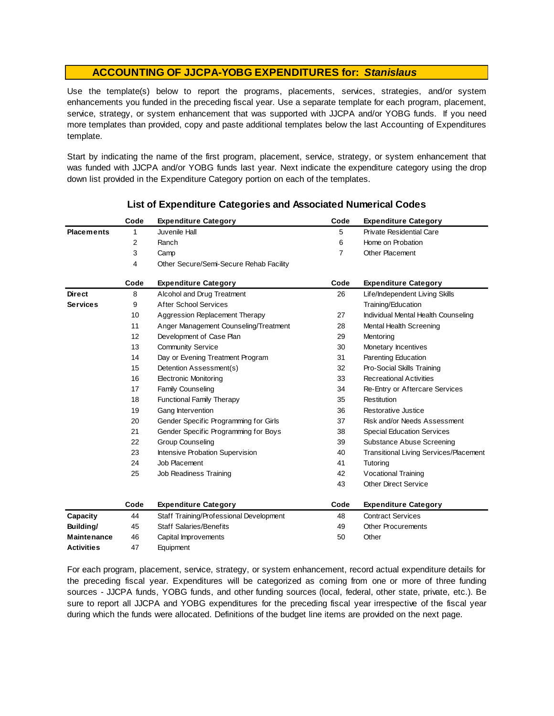Use the template(s) below to report the programs, placements, services, strategies, and/or system enhancements you funded in the preceding fiscal year. Use <sup>a</sup> separate template for each program, placement, service, strategy, or system enhancement that was supported with JJCPA and/or YOBG funds. If you need more templates than provided, copy and paste additional templates below the last Accounting of Expenditures template.

Start by indicating the name of the first program, placement, service, strategy, or system enhancement that was funded with JJCPA and/or YOBG funds last year. Next indicate the expenditure category using the drop down list provided in the Expenditure Category portion on each of the templates.

|                    | Code | <b>Expenditure Category</b>             | Code           | <b>Expenditure Category</b>                   |
|--------------------|------|-----------------------------------------|----------------|-----------------------------------------------|
| <b>Placements</b>  | 1    | Juvenile Hall                           | 5              | <b>Private Residential Care</b>               |
|                    | 2    | Ranch                                   | 6              | Home on Probation                             |
|                    | 3    | Camp                                    | $\overline{7}$ | Other Placement                               |
|                    | 4    | Other Secure/Semi-Secure Rehab Facility |                |                                               |
|                    | Code | <b>Expenditure Category</b>             | Code           | <b>Expenditure Category</b>                   |
| <b>Direct</b>      | 8    | Alcohol and Drug Treatment              | 26             | Life/Independent Living Skills                |
| <b>Services</b>    | 9    | <b>After School Services</b>            |                | Training/Education                            |
|                    | 10   | Aggression Replacement Therapy          | 27             | Individual Mental Health Counseling           |
|                    | 11   | Anger Management Counseling/Treatment   | 28             | Mental Health Screening                       |
|                    | 12   | Development of Case Plan                | 29             | Mentoring                                     |
|                    | 13   | <b>Community Service</b>                | 30             | Monetary Incentives                           |
|                    | 14   | Day or Evening Treatment Program        | 31             | Parenting Education                           |
|                    | 15   | Detention Assessment(s)                 | 32             | Pro-Social Skills Training                    |
|                    | 16   | <b>Electronic Monitoring</b>            | 33             | <b>Recreational Activities</b>                |
|                    | 17   | <b>Family Counseling</b>                | 34             | Re-Entry or Aftercare Services                |
|                    | 18   | <b>Functional Family Therapy</b>        | 35             | Restitution                                   |
|                    | 19   | Gang Intervention                       | 36             | Restorative Justice                           |
|                    | 20   | Gender Specific Programming for Girls   | 37             | Risk and/or Needs Assessment                  |
|                    | 21   | Gender Specific Programming for Boys    | 38             | <b>Special Education Services</b>             |
|                    | 22   | <b>Group Counseling</b>                 | 39             | Substance Abuse Screening                     |
|                    | 23   | Intensive Probation Supervision         | 40             | <b>Transitional Living Services/Placement</b> |
|                    | 24   | Job Placement                           | 41             | Tutoring                                      |
|                    | 25   | Job Readiness Training                  | 42             | Vocational Training                           |
|                    |      |                                         | 43             | <b>Other Direct Service</b>                   |
|                    | Code | <b>Expenditure Category</b>             | Code           | <b>Expenditure Category</b>                   |
| Capacity           | 44   | Staff Training/Professional Development | 48             | <b>Contract Services</b>                      |
| Building/          | 45   | <b>Staff Salaries/Benefits</b>          | 49             | <b>Other Procurements</b>                     |
| <b>Maintenance</b> | 46   | Capital Improvements                    | 50             | Other                                         |
| <b>Activities</b>  | 47   | Equipment                               |                |                                               |

#### **List of Expenditure Categories and Associated Numerical Codes**

For each program, placement, service, strategy, or system enhancement, record actual expenditure details for the preceding fiscal year. Expenditures will be categorized as coming from one or more of three funding sources - JJCPA funds, YOBG funds, and other funding sources (local, federal, other state, private, etc.). Be sure to report all JJCPA and YOBG expenditures for the preceding fiscal year irrespective of the fiscal year during which the funds were allocated. Definitions of the budget line items are provided on the next page.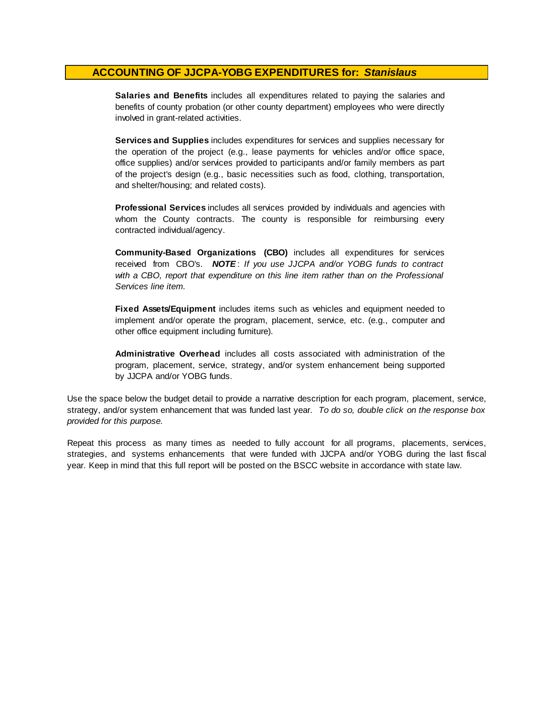**Salaries and Benefits** includes all expenditures related to paying the salaries and benefits of county probation (or other county department) employees who were directly involved in grant-related activities.

**Services and Supplies** includes expenditures for services and supplies necessary for the operation of the project (e.g., lease payments for vehicles and/or office space, office supplies) and/or services provided to participants and/or family members as part of the project's design (e.g., basic necessities such as food, clothing, transportation, and shelter/housing; and related costs).

**Professional Services** includes all services provided by individuals and agencies with whom the County contracts. The county is responsible for reimbursing every contracted individual/agency.

**Community-Based Organizations (CBO)** includes all expenditures for services received from CBO's. *NOTE* : *I f you use JJCPA and/or YOBG funds t o contract with <sup>a</sup> CBO, report that expenditure on this line item rather than on the Professional Services line item.*

**Fixed Assets/Equipment** includes items such as vehicles and equipment needed to implement and/or operate the program, placement, service, etc. (e.g., computer and other office equipment including furniture).

**Administrative Overhead** includes all costs associated with administration of the program, placement, service, strategy, and/or system enhancement being supported by JJCPA and/or YOBG funds.

Use the space below the budget detail to provide a narrative description for each program, placement, service, strategy, and/or system enhancement that was funded last year. *To do so, double click on the response box provided for this purpose.* 

Repeat this process as many times as needed to fully account for all programs, placements, services, strategies, and systems enhancements that were funded with JJCPA and/or YOBG during the last fiscal year. Keep in mind that this full report will be posted on the BSCC website in accordance with state law.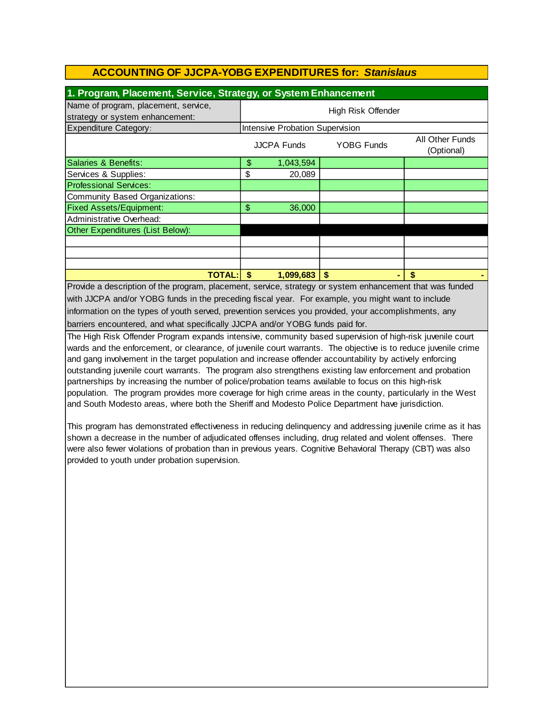| 1. Program, Placement, Service, Strategy, or System Enhancement         |                                                                          |                                 |    |   |  |
|-------------------------------------------------------------------------|--------------------------------------------------------------------------|---------------------------------|----|---|--|
| Name of program, placement, service,<br>strategy or system enhancement: | High Risk Offender                                                       |                                 |    |   |  |
| Expenditure Category:                                                   |                                                                          | Intensive Probation Supervision |    |   |  |
|                                                                         | All Other Funds<br><b>YOBG Funds</b><br><b>JJCPA Funds</b><br>(Optional) |                                 |    |   |  |
| Salaries & Benefits:                                                    | \$                                                                       | 1,043,594                       |    |   |  |
| Services & Supplies:                                                    | \$                                                                       | 20,089                          |    |   |  |
| <b>Professional Services:</b>                                           |                                                                          |                                 |    |   |  |
| Community Based Organizations:                                          |                                                                          |                                 |    |   |  |
| <b>Fixed Assets/Equipment:</b>                                          | \$                                                                       | 36,000                          |    |   |  |
| Administrative Overhead:                                                |                                                                          |                                 |    |   |  |
| Other Expenditures (List Below):                                        |                                                                          |                                 |    |   |  |
|                                                                         |                                                                          |                                 |    |   |  |
|                                                                         |                                                                          |                                 |    |   |  |
|                                                                         |                                                                          |                                 |    |   |  |
| TOTAL: l                                                                | S                                                                        | 1,099,683                       | \$ | S |  |

Provide a description of the program, placement, service, strategy or system enhancement that was funded with JJCPA and/or YOBG funds in the preceding fiscal year. For example, you might want to include information on the types of youth served, prevention services you provided, your accomplishments, any barriers encountered, and what specifically JJCPA and/or YOBG funds paid for.

The High Risk Offender Program expands intensive, community based supervision of high-risk juvenile court wards and the enforcement, or clearance, of juvenile court warrants. The objective is to reduce juvenile crime and gang involvement in the target population and increase offender accountability by actively enforcing outstanding juvenile court warrants. The program also strengthens existing law enforcement and probation partnerships by increasing the number of police/probation teams available to focus on this high-risk population. The program provides more coverage for high crime areas in the county, particularly in the West and South Modesto areas, where both the Sheriff and Modesto Police Department have jurisdiction.

This program has demonstrated effectiveness in reducing delinquency and addressing juvenile crime as it has shown a decrease in the number of adjudicated offenses including, drug related and violent offenses. There were also fewer violations of probation than in previous years. Cognitive Behavioral Therapy (CBT) was also provided to youth under probation supervision.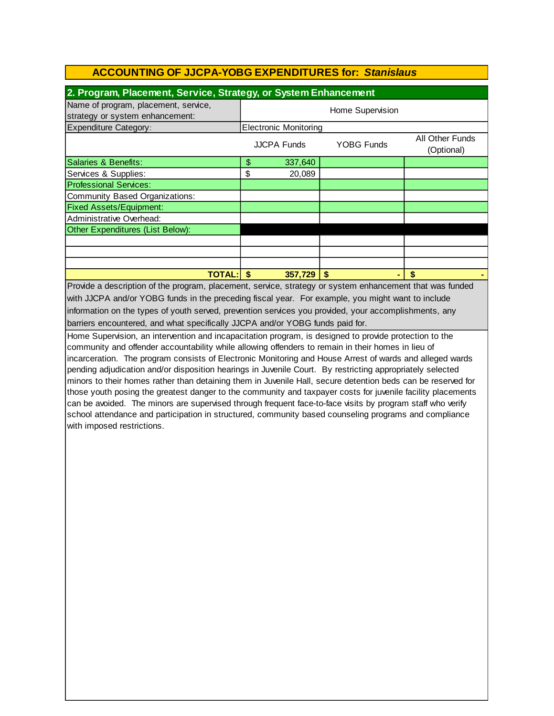| 2. Program, Placement, Service, Strategy, or System Enhancement                                          |                                                                          |                              |  |     |  |  |
|----------------------------------------------------------------------------------------------------------|--------------------------------------------------------------------------|------------------------------|--|-----|--|--|
| Name of program, placement, service,<br>strategy or system enhancement:                                  | Home Supervision                                                         |                              |  |     |  |  |
| <b>Expenditure Category:</b>                                                                             |                                                                          | <b>Electronic Monitoring</b> |  |     |  |  |
|                                                                                                          | All Other Funds<br><b>YOBG Funds</b><br><b>JJCPA Funds</b><br>(Optional) |                              |  |     |  |  |
| Salaries & Benefits:                                                                                     | \$                                                                       | 337,640                      |  |     |  |  |
| Services & Supplies:                                                                                     | \$                                                                       | 20,089                       |  |     |  |  |
| <b>Professional Services:</b>                                                                            |                                                                          |                              |  |     |  |  |
| Community Based Organizations:                                                                           |                                                                          |                              |  |     |  |  |
| <b>Fixed Assets/Equipment:</b>                                                                           |                                                                          |                              |  |     |  |  |
| Administrative Overhead:                                                                                 |                                                                          |                              |  |     |  |  |
| Other Expenditures (List Below):                                                                         |                                                                          |                              |  |     |  |  |
|                                                                                                          |                                                                          |                              |  |     |  |  |
|                                                                                                          |                                                                          |                              |  |     |  |  |
|                                                                                                          |                                                                          |                              |  |     |  |  |
| $TOTAL:$ \$                                                                                              |                                                                          | $357,729$ \$                 |  | \$. |  |  |
| Provide a description of the program, placement, service, strategy or system enhancement that was funded |                                                                          |                              |  |     |  |  |
| with JJCPA and/or YOBG funds in the preceding fiscal year. For example, you might want to include        |                                                                          |                              |  |     |  |  |
| information on the types of youth served, prevention services you provided, your accomplishments, any    |                                                                          |                              |  |     |  |  |
| barriers encountered, and what specifically JJCPA and/or YOBG funds paid for.                            |                                                                          |                              |  |     |  |  |

Home Supervision, an intervention and incapacitation program, is designed to provide protection to the community and offender accountability while allowing offenders to remain in their homes in lieu of incarceration. The program consists of Electronic Monitoring and House Arrest of wards and alleged wards pending adjudication and/or disposition hearings in Juvenile Court. By restricting appropriately selected minors to their homes rather than detaining them in Juvenile Hall, secure detention beds can be reserved for those youth posing the greatest danger to the community and taxpayer costs for juvenile facility placements can be avoided. The minors are supervised through frequent face-to-face visits by program staff who verify school attendance and participation in structured, community based counseling programs and compliance with imposed restrictions.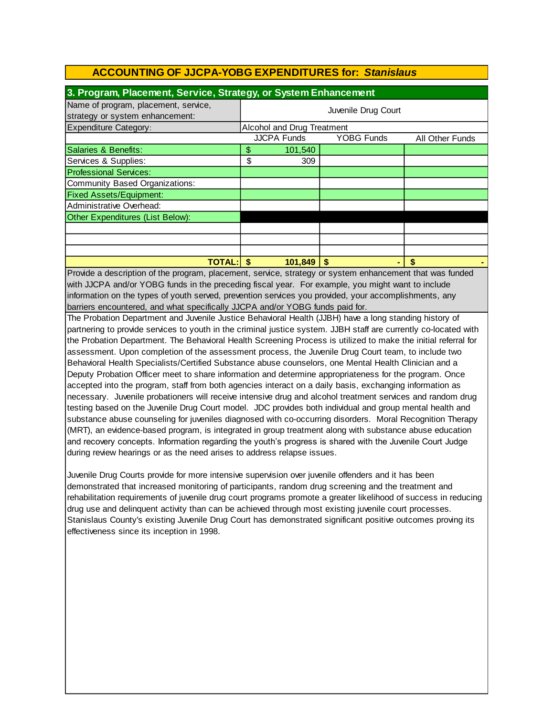| 3. Program, Placement, Service, Strategy, or System Enhancement         |                     |                            |                   |                 |  |
|-------------------------------------------------------------------------|---------------------|----------------------------|-------------------|-----------------|--|
| Name of program, placement, service,<br>strategy or system enhancement: | Juvenile Drug Court |                            |                   |                 |  |
| <b>Expenditure Category:</b>                                            |                     | Alcohol and Drug Treatment |                   |                 |  |
|                                                                         |                     | <b>JJCPA Funds</b>         | <b>YOBG Funds</b> | All Other Funds |  |
| Salaries & Benefits:                                                    | \$                  | 101,540                    |                   |                 |  |
| Services & Supplies:                                                    | \$                  | 309                        |                   |                 |  |
| <b>Professional Services:</b>                                           |                     |                            |                   |                 |  |
| Community Based Organizations:                                          |                     |                            |                   |                 |  |
| <b>Fixed Assets/Equipment:</b>                                          |                     |                            |                   |                 |  |
| Administrative Overhead:                                                |                     |                            |                   |                 |  |
| Other Expenditures (List Below):                                        |                     |                            |                   |                 |  |
|                                                                         |                     |                            |                   |                 |  |
|                                                                         |                     |                            |                   |                 |  |
|                                                                         |                     |                            |                   |                 |  |
| <b>TOTAL:</b>                                                           | \$.                 | 101,849                    |                   | \$              |  |

barriers encountered, and what specifically JJCPA and/or YOBG funds paid for. information on the types of youth served, prevention services you provided, your accomplishments, any Provide a description of the program, placement, service, strategy or system enhancement that was funded with JJCPA and/or YOBG funds in the preceding fiscal year. For example, you might want to include

The Probation Department and Juvenile Justice Behavioral Health (JJBH) have a long standing history of partnering to provide services to youth in the criminal justice system. JJBH staff are currently co-located with the Probation Department. The Behavioral Health Screening Process is utilized to make the initial referral for assessment. Upon completion of the assessment process, the Juvenile Drug Court team, to include two Behavioral Health Specialists/Certified Substance abuse counselors, one Mental Health Clinician and a Deputy Probation Officer meet to share information and determine appropriateness for the program. Once accepted into the program, staff from both agencies interact on a daily basis, exchanging information as necessary. Juvenile probationers will receive intensive drug and alcohol treatment services and random drug testing based on the Juvenile Drug Court model. JDC provides both individual and group mental health and substance abuse counseling for juveniles diagnosed with co-occurring disorders. Moral Recognition Therapy (MRT), an evidence-based program, is integrated in group treatment along with substance abuse education and recovery concepts. Information regarding the youth's progress is shared with the Juvenile Court Judge during review hearings or as the need arises to address relapse issues.

Juvenile Drug Courts provide for more intensive supervision over juvenile offenders and it has been demonstrated that increased monitoring of participants, random drug screening and the treatment and rehabilitation requirements of juvenile drug court programs promote a greater likelihood of success in reducing drug use and delinquent activity than can be achieved through most existing juvenile court processes. Stanislaus County's existing Juvenile Drug Court has demonstrated significant positive outcomes proving its effectiveness since its inception in 1998.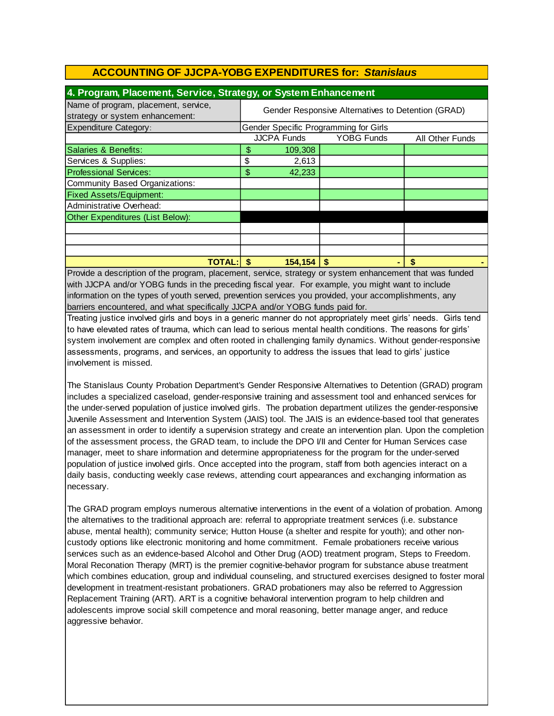| 4. Program, Placement, Service, Strategy, or System Enhancement         |                                                    |                    |                                       |                 |  |  |
|-------------------------------------------------------------------------|----------------------------------------------------|--------------------|---------------------------------------|-----------------|--|--|
| Name of program, placement, service,<br>strategy or system enhancement: | Gender Responsive Alternatives to Detention (GRAD) |                    |                                       |                 |  |  |
| <b>Expenditure Category:</b>                                            |                                                    |                    | Gender Specific Programming for Girls |                 |  |  |
|                                                                         |                                                    | <b>JJCPA Funds</b> | <b>YOBG Funds</b>                     | All Other Funds |  |  |
| Salaries & Benefits:                                                    | \$                                                 | 109,308            |                                       |                 |  |  |
| Services & Supplies:                                                    | \$                                                 | 2,613              |                                       |                 |  |  |
| <b>Professional Services:</b>                                           | \$                                                 | 42,233             |                                       |                 |  |  |
| Community Based Organizations:                                          |                                                    |                    |                                       |                 |  |  |
| <b>Fixed Assets/Equipment:</b>                                          |                                                    |                    |                                       |                 |  |  |
| Administrative Overhead:                                                |                                                    |                    |                                       |                 |  |  |
| Other Expenditures (List Below):                                        |                                                    |                    |                                       |                 |  |  |
|                                                                         |                                                    |                    |                                       |                 |  |  |
|                                                                         |                                                    |                    |                                       |                 |  |  |
|                                                                         |                                                    |                    |                                       |                 |  |  |
| <b>TOTAL:</b>                                                           |                                                    | 154,154            | \$                                    |                 |  |  |

Provide a description of the program, placement, service, strategy or system enhancement that was funded with JJCPA and/or YOBG funds in the preceding fiscal year. For example, you might want to include information on the types of youth served, prevention services you provided, your accomplishments, any barriers encountered, and what specifically JJCPA and/or YOBG funds paid for.

Treating justice involved girls and boys in a generic manner do not appropriately meet girls' needs. Girls tend to have elevated rates of trauma, which can lead to serious mental health conditions. The reasons for girls' system involvement are complex and often rooted in challenging family dynamics. Without gender-responsive assessments, programs, and services, an opportunity to address the issues that lead to girls' justice involvement is missed.

The Stanislaus County Probation Department's Gender Responsive Alternatives to Detention (GRAD) program includes a specialized caseload, gender-responsive training and assessment tool and enhanced services for the under-served population of justice involved girls. The probation department utilizes the gender-responsive Juvenile Assessment and Intervention System (JAIS) tool. The JAIS is an evidence-based tool that generates an assessment in order to identify a supervision strategy and create an intervention plan. Upon the completion of the assessment process, the GRAD team, to include the DPO I/II and Center for Human Services case manager, meet to share information and determine appropriateness for the program for the under-served population of justice involved girls. Once accepted into the program, staff from both agencies interact on a daily basis, conducting weekly case reviews, attending court appearances and exchanging information as necessary.

The GRAD program employs numerous alternative interventions in the event of a violation of probation. Among the alternatives to the traditional approach are: referral to appropriate treatment services (i.e. substance abuse, mental health); community service; Hutton House (a shelter and respite for youth); and other noncustody options like electronic monitoring and home commitment. Female probationers receive various services such as an evidence-based Alcohol and Other Drug (AOD) treatment program, Steps to Freedom. Moral Reconation Therapy (MRT) is the premier cognitive-behavior program for substance abuse treatment which combines education, group and individual counseling, and structured exercises designed to foster moral development in treatment-resistant probationers. GRAD probationers may also be referred to Aggression Replacement Training (ART). ART is a cognitive behavioral intervention program to help children and adolescents improve social skill competence and moral reasoning, better manage anger, and reduce aggressive behavior.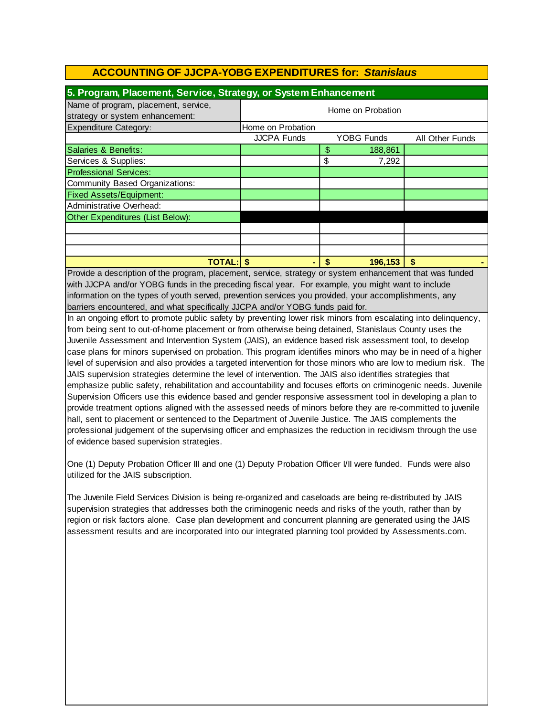| 5. Program, Placement, Service, Strategy, or System Enhancement         |                    |    |                   |                 |  |  |
|-------------------------------------------------------------------------|--------------------|----|-------------------|-----------------|--|--|
| Name of program, placement, service,<br>strategy or system enhancement: | Home on Probation  |    |                   |                 |  |  |
| <b>Expenditure Category:</b>                                            | Home on Probation  |    |                   |                 |  |  |
|                                                                         | <b>JJCPA Funds</b> |    | <b>YOBG Funds</b> | All Other Funds |  |  |
| Salaries & Benefits:                                                    |                    | \$ | 188,861           |                 |  |  |
| Services & Supplies:                                                    |                    | \$ | 7,292             |                 |  |  |
| <b>Professional Services:</b>                                           |                    |    |                   |                 |  |  |
| Community Based Organizations:                                          |                    |    |                   |                 |  |  |
| <b>Fixed Assets/Equipment:</b>                                          |                    |    |                   |                 |  |  |
| Administrative Overhead:                                                |                    |    |                   |                 |  |  |
| Other Expenditures (List Below):                                        |                    |    |                   |                 |  |  |
|                                                                         |                    |    |                   |                 |  |  |
|                                                                         |                    |    |                   |                 |  |  |
|                                                                         |                    |    |                   |                 |  |  |
| <b>TOTAL:</b>                                                           |                    | S  | 196,153           | \$              |  |  |

Provide a description of the program, placement, service, strategy or system enhancement that was funded with JJCPA and/or YOBG funds in the preceding fiscal year. For example, you might want to include information on the types of youth served, prevention services you provided, your accomplishments, any barriers encountered, and what specifically JJCPA and/or YOBG funds paid for.

In an ongoing effort to promote public safety by preventing lower risk minors from escalating into delinquency, from being sent to out-of-home placement or from otherwise being detained, Stanislaus County uses the Juvenile Assessment and Intervention System (JAIS), an evidence based risk assessment tool, to develop case plans for minors supervised on probation. This program identifies minors who may be in need of a higher level of supervision and also provides a targeted intervention for those minors who are low to medium risk. The JAIS supervision strategies determine the level of intervention. The JAIS also identifies strategies that emphasize public safety, rehabilitation and accountability and focuses efforts on criminogenic needs. Juvenile Supervision Officers use this evidence based and gender responsive assessment tool in developing a plan to provide treatment options aligned with the assessed needs of minors before they are re-committed to juvenile hall, sent to placement or sentenced to the Department of Juvenile Justice. The JAIS complements the professional judgement of the supervising officer and emphasizes the reduction in recidivism through the use of evidence based supervision strategies.

One (1) Deputy Probation Officer III and one (1) Deputy Probation Officer I/II were funded. Funds were also utilized for the JAIS subscription.

The Juvenile Field Services Division is being re-organized and caseloads are being re-distributed by JAIS supervision strategies that addresses both the criminogenic needs and risks of the youth, rather than by region or risk factors alone. Case plan development and concurrent planning are generated using the JAIS assessment results and are incorporated into our integrated planning tool provided by Assessments.com.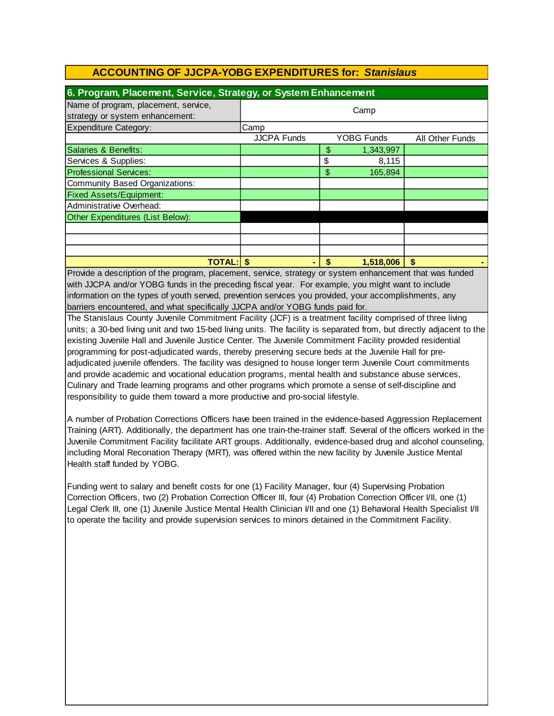| 6. Program, Placement, Service, Strategy, or System Enhancement         |                    |    |                   |                 |  |  |  |
|-------------------------------------------------------------------------|--------------------|----|-------------------|-----------------|--|--|--|
| Name of program, placement, service,<br>strategy or system enhancement: | Camp               |    |                   |                 |  |  |  |
| Expenditure Category:                                                   | Camp               |    |                   |                 |  |  |  |
|                                                                         | <b>JJCPA Funds</b> |    | <b>YOBG Funds</b> | All Other Funds |  |  |  |
| Salaries & Benefits:                                                    |                    | \$ | 1,343,997         |                 |  |  |  |
| Services & Supplies:                                                    |                    | \$ | 8,115             |                 |  |  |  |
| <b>Professional Services:</b>                                           |                    | \$ | 165,894           |                 |  |  |  |
| Community Based Organizations:                                          |                    |    |                   |                 |  |  |  |
| <b>Fixed Assets/Equipment:</b>                                          |                    |    |                   |                 |  |  |  |
| Administrative Overhead:                                                |                    |    |                   |                 |  |  |  |
| Other Expenditures (List Below):                                        |                    |    |                   |                 |  |  |  |
|                                                                         |                    |    |                   |                 |  |  |  |
|                                                                         |                    |    |                   |                 |  |  |  |
|                                                                         |                    |    |                   |                 |  |  |  |
| <b>TOTAL: \$</b>                                                        |                    | \$ | 1,518,006         | S               |  |  |  |

Provide a description of the program, placement, service, strategy or system enhancement that was funded with JJCPA and/or YOBG funds in the preceding fiscal year. For example, you might want to include information on the types of youth served, prevention services you provided, your accomplishments, any barriers encountered, and what specifically JJCPA and/or YOBG funds paid for.

The Stanislaus County Juvenile Commitment Facility (JCF) is a treatment facility comprised of three living units; a 30-bed living unit and two 15-bed living units. The facility is separated from, but directly adjacent to the existing Juvenile Hall and Juvenile Justice Center. The Juvenile Commitment Facility provided residential programming for post-adjudicated wards, thereby preserving secure beds at the Juvenile Hall for preadjudicated juvenile offenders. The facility was designed to house longer term Juvenile Court commitments and provide academic and vocational education programs, mental health and substance abuse services, Culinary and Trade learning programs and other programs which promote a sense of self-discipline and responsibility to guide them toward a more productive and pro-social lifestyle.

A number of Probation Corrections Officers have been trained in the evidence-based Aggression Replacement Training (ART). Additionally, the department has one train-the-trainer staff. Several of the officers worked in the Juvenile Commitment Facility facilitate ART groups. Additionally, evidence-based drug and alcohol counseling, including Moral Reconation Therapy (MRT), was offered within the new facility by Juvenile Justice Mental Health staff funded by YOBG.

Funding went to salary and benefit costs for one (1) Facility Manager, four (4) Supervising Probation Correction Officers, two (2) Probation Correction Officer III, four (4) Probation Correction Officer I/II, one (1) Legal Clerk III, one (1) Juvenile Justice Mental Health Clinician I/II and one (1) Behavioral Health Specialist I/II to operate the facility and provide supervision services to minors detained in the Commitment Facility.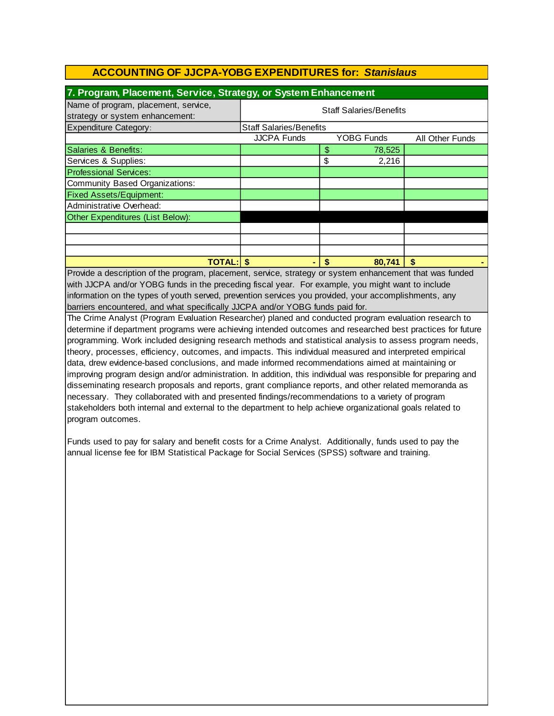| 7. Program, Placement, Service, Strategy, or System Enhancement         |                                |    |                   |                 |  |  |  |
|-------------------------------------------------------------------------|--------------------------------|----|-------------------|-----------------|--|--|--|
| Name of program, placement, service,<br>strategy or system enhancement: | <b>Staff Salaries/Benefits</b> |    |                   |                 |  |  |  |
| <b>Expenditure Category:</b>                                            | <b>Staff Salaries/Benefits</b> |    |                   |                 |  |  |  |
|                                                                         | <b>JJCPA Funds</b>             |    | <b>YOBG Funds</b> | All Other Funds |  |  |  |
| Salaries & Benefits:                                                    |                                | \$ | 78,525            |                 |  |  |  |
| Services & Supplies:                                                    |                                | \$ | 2,216             |                 |  |  |  |
| <b>Professional Services:</b>                                           |                                |    |                   |                 |  |  |  |
| Community Based Organizations:                                          |                                |    |                   |                 |  |  |  |
| <b>Fixed Assets/Equipment:</b>                                          |                                |    |                   |                 |  |  |  |
| Administrative Overhead:                                                |                                |    |                   |                 |  |  |  |
| Other Expenditures (List Below):                                        |                                |    |                   |                 |  |  |  |
|                                                                         |                                |    |                   |                 |  |  |  |
|                                                                         |                                |    |                   |                 |  |  |  |
|                                                                         |                                |    |                   |                 |  |  |  |
| <b>TOTAL:</b>                                                           |                                | \$ | 80,741            | S               |  |  |  |

Provide a description of the program, placement, service, strategy or system enhancement that was funded with JJCPA and/or YOBG funds in the preceding fiscal year. For example, you might want to include information on the types of youth served, prevention services you provided, your accomplishments, any barriers encountered, and what specifically JJCPA and/or YOBG funds paid for.

The Crime Analyst (Program Evaluation Researcher) planed and conducted program evaluation research to determine if department programs were achieving intended outcomes and researched best practices for future programming. Work included designing research methods and statistical analysis to assess program needs, theory, processes, efficiency, outcomes, and impacts. This individual measured and interpreted empirical data, drew evidence-based conclusions, and made informed recommendations aimed at maintaining or improving program design and/or administration. In addition, this individual was responsible for preparing and disseminating research proposals and reports, grant compliance reports, and other related memoranda as necessary. They collaborated with and presented findings/recommendations to a variety of program stakeholders both internal and external to the department to help achieve organizational goals related to program outcomes.

Funds used to pay for salary and benefit costs for a Crime Analyst. Additionally, funds used to pay the annual license fee for IBM Statistical Package for Social Services (SPSS) software and training.